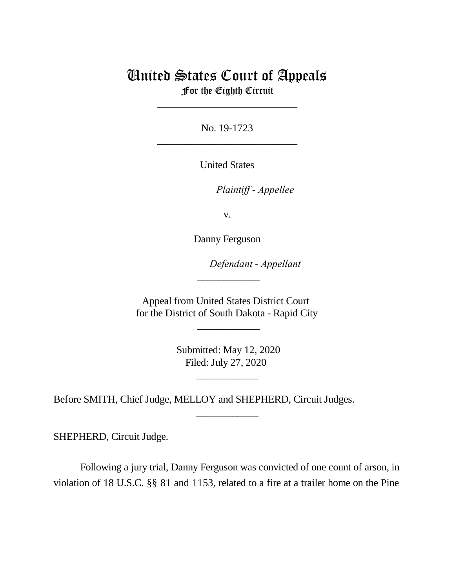## United States Court of Appeals

For the Eighth Circuit \_\_\_\_\_\_\_\_\_\_\_\_\_\_\_\_\_\_\_\_\_\_\_\_\_\_\_

No. 19-1723 \_\_\_\_\_\_\_\_\_\_\_\_\_\_\_\_\_\_\_\_\_\_\_\_\_\_\_

United States

*Plaintiff - Appellee* 

v.

Danny Ferguson

Defendant - Appellant

Appeal from United States District Court for the District of South Dakota - Rapid City

 $\overline{\phantom{a}}$ 

 $\overline{\phantom{a}}$   $\overline{\phantom{a}}$   $\overline{\phantom{a}}$   $\overline{\phantom{a}}$   $\overline{\phantom{a}}$   $\overline{\phantom{a}}$   $\overline{\phantom{a}}$   $\overline{\phantom{a}}$   $\overline{\phantom{a}}$   $\overline{\phantom{a}}$   $\overline{\phantom{a}}$   $\overline{\phantom{a}}$   $\overline{\phantom{a}}$   $\overline{\phantom{a}}$   $\overline{\phantom{a}}$   $\overline{\phantom{a}}$   $\overline{\phantom{a}}$   $\overline{\phantom{a}}$   $\overline{\$ 

 Submitted: May 12, 2020 Filed: July 27, 2020

\_\_\_\_\_\_\_\_\_\_\_\_

\_\_\_\_\_\_\_\_\_\_\_\_

Before SMITH, Chief Judge, MELLOY and SHEPHERD, Circuit Judges.

SHEPHERD, Circuit Judge.

Following a jury trial, Danny Ferguson was convicted of one count of arson, in violation of 18 U.S.C. §§ 81 and 1153, related to a fire at a trailer home on the Pine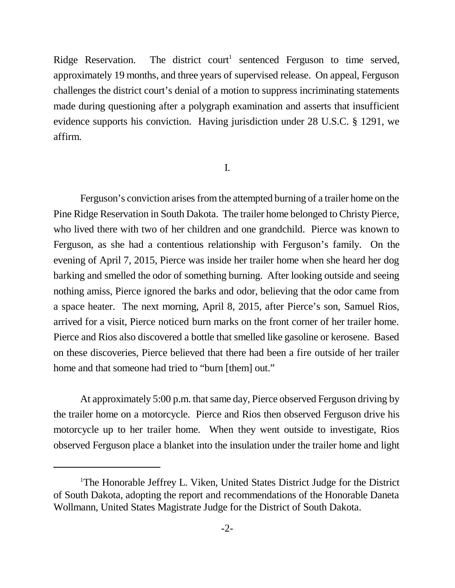Ridge Reservation. The district court<sup>1</sup> sentenced Ferguson to time served, approximately 19 months, and three years of supervised release. On appeal, Ferguson challenges the district court's denial of a motion to suppress incriminating statements made during questioning after a polygraph examination and asserts that insufficient evidence supports his conviction. Having jurisdiction under 28 U.S.C. § 1291, we affirm.

## I.

Ferguson's conviction arises from the attempted burning of a trailer home on the Pine Ridge Reservation in South Dakota. The trailer home belonged to Christy Pierce, who lived there with two of her children and one grandchild. Pierce was known to Ferguson, as she had a contentious relationship with Ferguson's family. On the evening of April 7, 2015, Pierce was inside her trailer home when she heard her dog barking and smelled the odor of something burning. After looking outside and seeing nothing amiss, Pierce ignored the barks and odor, believing that the odor came from a space heater. The next morning, April 8, 2015, after Pierce's son, Samuel Rios, arrived for a visit, Pierce noticed burn marks on the front corner of her trailer home. Pierce and Rios also discovered a bottle that smelled like gasoline or kerosene. Based on these discoveries, Pierce believed that there had been a fire outside of her trailer home and that someone had tried to "burn [them] out."

At approximately 5:00 p.m. that same day, Pierce observed Ferguson driving by the trailer home on a motorcycle. Pierce and Rios then observed Ferguson drive his motorcycle up to her trailer home. When they went outside to investigate, Rios observed Ferguson place a blanket into the insulation under the trailer home and light

<sup>1</sup>The Honorable Jeffrey L. Viken, United States District Judge for the District of South Dakota, adopting the report and recommendations of the Honorable Daneta Wollmann, United States Magistrate Judge for the District of South Dakota.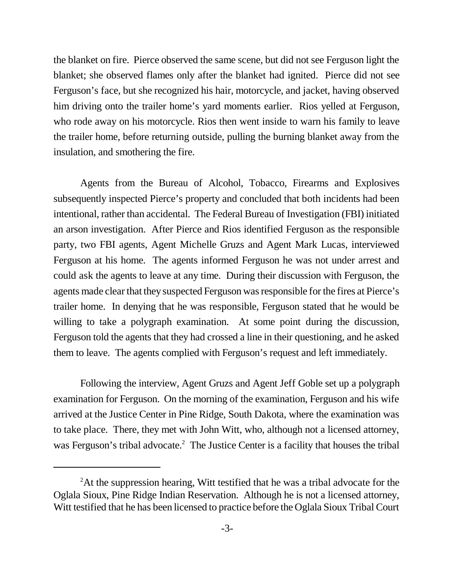the blanket on fire. Pierce observed the same scene, but did not see Ferguson light the blanket; she observed flames only after the blanket had ignited. Pierce did not see Ferguson's face, but she recognized his hair, motorcycle, and jacket, having observed him driving onto the trailer home's yard moments earlier. Rios yelled at Ferguson, who rode away on his motorcycle. Rios then went inside to warn his family to leave the trailer home, before returning outside, pulling the burning blanket away from the insulation, and smothering the fire.

Agents from the Bureau of Alcohol, Tobacco, Firearms and Explosives subsequently inspected Pierce's property and concluded that both incidents had been intentional, rather than accidental. The Federal Bureau of Investigation (FBI) initiated an arson investigation. After Pierce and Rios identified Ferguson as the responsible party, two FBI agents, Agent Michelle Gruzs and Agent Mark Lucas, interviewed Ferguson at his home. The agents informed Ferguson he was not under arrest and could ask the agents to leave at any time. During their discussion with Ferguson, the agents made clear that they suspected Ferguson was responsible for the fires at Pierce's trailer home. In denying that he was responsible, Ferguson stated that he would be willing to take a polygraph examination. At some point during the discussion, Ferguson told the agents that they had crossed a line in their questioning, and he asked them to leave. The agents complied with Ferguson's request and left immediately.

Following the interview, Agent Gruzs and Agent Jeff Goble set up a polygraph examination for Ferguson. On the morning of the examination, Ferguson and his wife arrived at the Justice Center in Pine Ridge, South Dakota, where the examination was to take place. There, they met with John Witt, who, although not a licensed attorney, was Ferguson's tribal advocate.<sup>2</sup> The Justice Center is a facility that houses the tribal

<sup>&</sup>lt;sup>2</sup>At the suppression hearing, Witt testified that he was a tribal advocate for the Oglala Sioux, Pine Ridge Indian Reservation. Although he is not a licensed attorney, Witt testified that he has been licensed to practice before the Oglala Sioux Tribal Court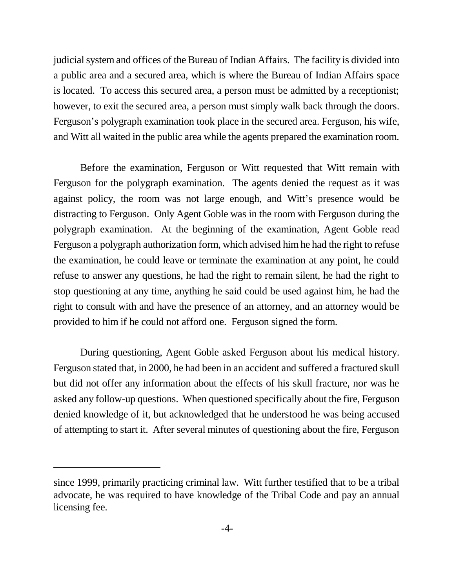judicial system and offices of the Bureau of Indian Affairs. The facility is divided into a public area and a secured area, which is where the Bureau of Indian Affairs space is located. To access this secured area, a person must be admitted by a receptionist; however, to exit the secured area, a person must simply walk back through the doors. Ferguson's polygraph examination took place in the secured area. Ferguson, his wife, and Witt all waited in the public area while the agents prepared the examination room.

Before the examination, Ferguson or Witt requested that Witt remain with Ferguson for the polygraph examination. The agents denied the request as it was against policy, the room was not large enough, and Witt's presence would be distracting to Ferguson. Only Agent Goble was in the room with Ferguson during the polygraph examination. At the beginning of the examination, Agent Goble read Ferguson a polygraph authorization form, which advised him he had the right to refuse the examination, he could leave or terminate the examination at any point, he could refuse to answer any questions, he had the right to remain silent, he had the right to stop questioning at any time, anything he said could be used against him, he had the right to consult with and have the presence of an attorney, and an attorney would be provided to him if he could not afford one. Ferguson signed the form.

During questioning, Agent Goble asked Ferguson about his medical history. Ferguson stated that, in 2000, he had been in an accident and suffered a fractured skull but did not offer any information about the effects of his skull fracture, nor was he asked any follow-up questions. When questioned specifically about the fire, Ferguson denied knowledge of it, but acknowledged that he understood he was being accused of attempting to start it. After several minutes of questioning about the fire, Ferguson

since 1999, primarily practicing criminal law. Witt further testified that to be a tribal advocate, he was required to have knowledge of the Tribal Code and pay an annual licensing fee.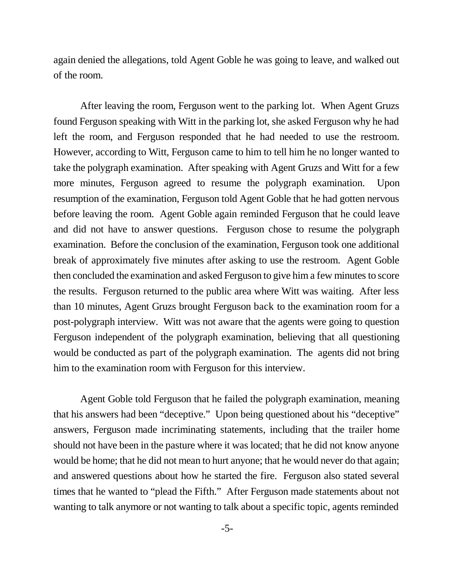again denied the allegations, told Agent Goble he was going to leave, and walked out of the room.

After leaving the room, Ferguson went to the parking lot. When Agent Gruzs found Ferguson speaking with Witt in the parking lot, she asked Ferguson why he had left the room, and Ferguson responded that he had needed to use the restroom. However, according to Witt, Ferguson came to him to tell him he no longer wanted to take the polygraph examination. After speaking with Agent Gruzs and Witt for a few more minutes, Ferguson agreed to resume the polygraph examination. Upon resumption of the examination, Ferguson told Agent Goble that he had gotten nervous before leaving the room. Agent Goble again reminded Ferguson that he could leave and did not have to answer questions. Ferguson chose to resume the polygraph examination. Before the conclusion of the examination, Ferguson took one additional break of approximately five minutes after asking to use the restroom. Agent Goble then concluded the examination and asked Ferguson to give him a few minutes to score the results. Ferguson returned to the public area where Witt was waiting. After less than 10 minutes, Agent Gruzs brought Ferguson back to the examination room for a post-polygraph interview. Witt was not aware that the agents were going to question Ferguson independent of the polygraph examination, believing that all questioning would be conducted as part of the polygraph examination. The agents did not bring him to the examination room with Ferguson for this interview.

Agent Goble told Ferguson that he failed the polygraph examination, meaning that his answers had been "deceptive." Upon being questioned about his "deceptive" answers, Ferguson made incriminating statements, including that the trailer home should not have been in the pasture where it was located; that he did not know anyone would be home; that he did not mean to hurt anyone; that he would never do that again; and answered questions about how he started the fire. Ferguson also stated several times that he wanted to "plead the Fifth." After Ferguson made statements about not wanting to talk anymore or not wanting to talk about a specific topic, agents reminded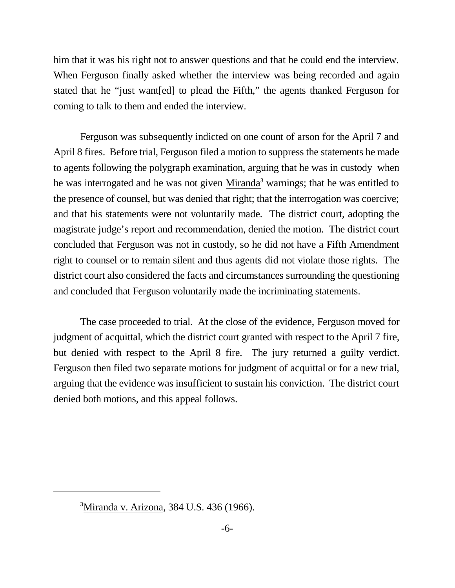him that it was his right not to answer questions and that he could end the interview. When Ferguson finally asked whether the interview was being recorded and again stated that he "just want[ed] to plead the Fifth," the agents thanked Ferguson for coming to talk to them and ended the interview.

Ferguson was subsequently indicted on one count of arson for the April 7 and April 8 fires. Before trial, Ferguson filed a motion to suppress the statements he made to agents following the polygraph examination, arguing that he was in custody when he was interrogated and he was not given Miranda<sup>3</sup> warnings; that he was entitled to the presence of counsel, but was denied that right; that the interrogation was coercive; and that his statements were not voluntarily made. The district court, adopting the magistrate judge's report and recommendation, denied the motion. The district court concluded that Ferguson was not in custody, so he did not have a Fifth Amendment right to counsel or to remain silent and thus agents did not violate those rights. The district court also considered the facts and circumstances surrounding the questioning and concluded that Ferguson voluntarily made the incriminating statements.

The case proceeded to trial. At the close of the evidence, Ferguson moved for judgment of acquittal, which the district court granted with respect to the April 7 fire, but denied with respect to the April 8 fire. The jury returned a guilty verdict. Ferguson then filed two separate motions for judgment of acquittal or for a new trial, arguing that the evidence was insufficient to sustain his conviction. The district court denied both motions, and this appeal follows.

<sup>3</sup>Miranda v. Arizona, 384 U.S. 436 (1966).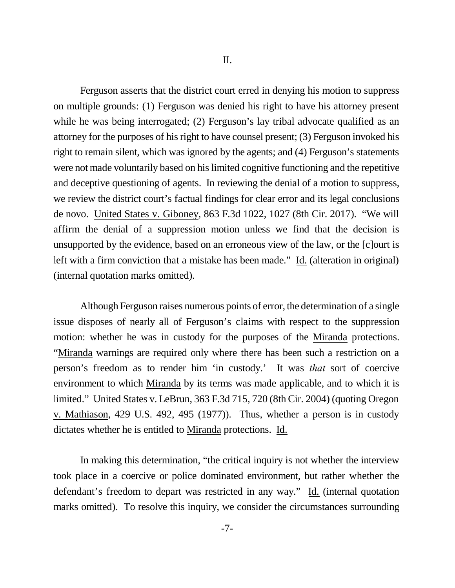Ferguson asserts that the district court erred in denying his motion to suppress on multiple grounds: (1) Ferguson was denied his right to have his attorney present while he was being interrogated; (2) Ferguson's lay tribal advocate qualified as an attorney for the purposes of his right to have counsel present; (3) Ferguson invoked his right to remain silent, which was ignored by the agents; and (4) Ferguson's statements were not made voluntarily based on his limited cognitive functioning and the repetitive and deceptive questioning of agents. In reviewing the denial of a motion to suppress, we review the district court's factual findings for clear error and its legal conclusions de novo. United States v. Giboney, 863 F.3d 1022, 1027 (8th Cir. 2017). "We will affirm the denial of a suppression motion unless we find that the decision is unsupported by the evidence, based on an erroneous view of the law, or the [c]ourt is left with a firm conviction that a mistake has been made." Id. (alteration in original) (internal quotation marks omitted).

Although Ferguson raises numerous points of error, the determination of a single issue disposes of nearly all of Ferguson's claims with respect to the suppression motion: whether he was in custody for the purposes of the Miranda protections. "Miranda warnings are required only where there has been such a restriction on a person's freedom as to render him 'in custody.' It was *that* sort of coercive environment to which Miranda by its terms was made applicable, and to which it is limited." United States v. LeBrun, 363 F.3d 715, 720 (8th Cir. 2004) (quoting Oregon v. Mathiason, 429 U.S. 492, 495 (1977)). Thus, whether a person is in custody dictates whether he is entitled to Miranda protections. Id.

In making this determination, "the critical inquiry is not whether the interview took place in a coercive or police dominated environment, but rather whether the defendant's freedom to depart was restricted in any way." Id. (internal quotation marks omitted). To resolve this inquiry, we consider the circumstances surrounding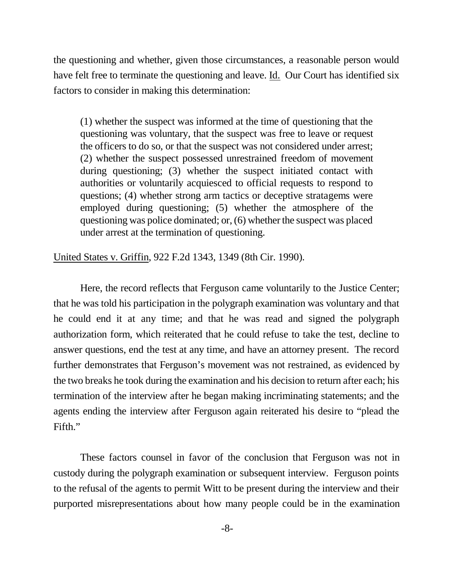the questioning and whether, given those circumstances, a reasonable person would have felt free to terminate the questioning and leave. Id. Our Court has identified six factors to consider in making this determination:

(1) whether the suspect was informed at the time of questioning that the questioning was voluntary, that the suspect was free to leave or request the officers to do so, or that the suspect was not considered under arrest; (2) whether the suspect possessed unrestrained freedom of movement during questioning; (3) whether the suspect initiated contact with authorities or voluntarily acquiesced to official requests to respond to questions; (4) whether strong arm tactics or deceptive stratagems were employed during questioning; (5) whether the atmosphere of the questioning was police dominated; or, (6) whether the suspect was placed under arrest at the termination of questioning.

United States v. Griffin, 922 F.2d 1343, 1349 (8th Cir. 1990).

Here, the record reflects that Ferguson came voluntarily to the Justice Center; that he was told his participation in the polygraph examination was voluntary and that he could end it at any time; and that he was read and signed the polygraph authorization form, which reiterated that he could refuse to take the test, decline to answer questions, end the test at any time, and have an attorney present. The record further demonstrates that Ferguson's movement was not restrained, as evidenced by the two breaks he took during the examination and his decision to return after each; his termination of the interview after he began making incriminating statements; and the agents ending the interview after Ferguson again reiterated his desire to "plead the Fifth."

These factors counsel in favor of the conclusion that Ferguson was not in custody during the polygraph examination or subsequent interview. Ferguson points to the refusal of the agents to permit Witt to be present during the interview and their purported misrepresentations about how many people could be in the examination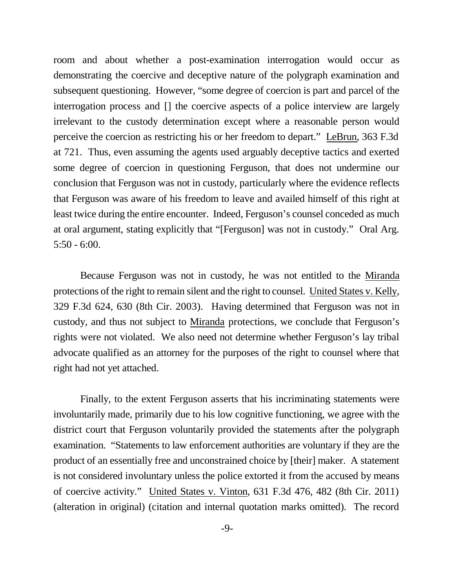room and about whether a post-examination interrogation would occur as demonstrating the coercive and deceptive nature of the polygraph examination and subsequent questioning. However, "some degree of coercion is part and parcel of the interrogation process and [] the coercive aspects of a police interview are largely irrelevant to the custody determination except where a reasonable person would perceive the coercion as restricting his or her freedom to depart." LeBrun, 363 F.3d at 721. Thus, even assuming the agents used arguably deceptive tactics and exerted some degree of coercion in questioning Ferguson, that does not undermine our conclusion that Ferguson was not in custody, particularly where the evidence reflects that Ferguson was aware of his freedom to leave and availed himself of this right at least twice during the entire encounter. Indeed, Ferguson's counsel conceded as much at oral argument, stating explicitly that "[Ferguson] was not in custody." Oral Arg. 5:50 - 6:00.

Because Ferguson was not in custody, he was not entitled to the Miranda protections of the right to remain silent and the right to counsel. United States v. Kelly, 329 F.3d 624, 630 (8th Cir. 2003). Having determined that Ferguson was not in custody, and thus not subject to Miranda protections, we conclude that Ferguson's rights were not violated. We also need not determine whether Ferguson's lay tribal advocate qualified as an attorney for the purposes of the right to counsel where that right had not yet attached.

Finally, to the extent Ferguson asserts that his incriminating statements were involuntarily made, primarily due to his low cognitive functioning, we agree with the district court that Ferguson voluntarily provided the statements after the polygraph examination. "Statements to law enforcement authorities are voluntary if they are the product of an essentially free and unconstrained choice by [their] maker. A statement is not considered involuntary unless the police extorted it from the accused by means of coercive activity." United States v. Vinton, 631 F.3d 476, 482 (8th Cir. 2011) (alteration in original) (citation and internal quotation marks omitted). The record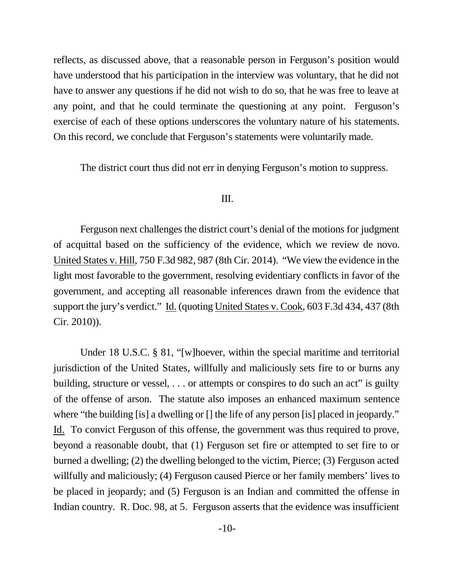reflects, as discussed above, that a reasonable person in Ferguson's position would have understood that his participation in the interview was voluntary, that he did not have to answer any questions if he did not wish to do so, that he was free to leave at any point, and that he could terminate the questioning at any point. Ferguson's exercise of each of these options underscores the voluntary nature of his statements. On this record, we conclude that Ferguson's statements were voluntarily made.

The district court thus did not err in denying Ferguson's motion to suppress.

## III.

Ferguson next challenges the district court's denial of the motions for judgment of acquittal based on the sufficiency of the evidence, which we review de novo. United States v. Hill, 750 F.3d 982, 987 (8th Cir. 2014). "We view the evidence in the light most favorable to the government, resolving evidentiary conflicts in favor of the government, and accepting all reasonable inferences drawn from the evidence that support the jury's verdict." Id. (quoting United States v. Cook, 603 F.3d 434, 437 (8th Cir. 2010)).

Under 18 U.S.C. § 81, "[w]hoever, within the special maritime and territorial jurisdiction of the United States, willfully and maliciously sets fire to or burns any building, structure or vessel, ... or attempts or conspires to do such an act" is guilty of the offense of arson. The statute also imposes an enhanced maximum sentence where "the building [is] a dwelling or [] the life of any person [is] placed in jeopardy." Id. To convict Ferguson of this offense, the government was thus required to prove, beyond a reasonable doubt, that (1) Ferguson set fire or attempted to set fire to or burned a dwelling; (2) the dwelling belonged to the victim, Pierce; (3) Ferguson acted willfully and maliciously; (4) Ferguson caused Pierce or her family members' lives to be placed in jeopardy; and (5) Ferguson is an Indian and committed the offense in Indian country. R. Doc. 98, at 5. Ferguson asserts that the evidence was insufficient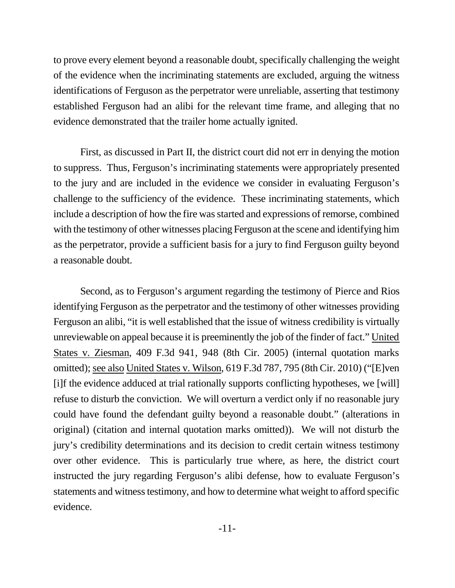to prove every element beyond a reasonable doubt, specifically challenging the weight of the evidence when the incriminating statements are excluded, arguing the witness identifications of Ferguson as the perpetrator were unreliable, asserting that testimony established Ferguson had an alibi for the relevant time frame, and alleging that no evidence demonstrated that the trailer home actually ignited.

First, as discussed in Part II, the district court did not err in denying the motion to suppress. Thus, Ferguson's incriminating statements were appropriately presented to the jury and are included in the evidence we consider in evaluating Ferguson's challenge to the sufficiency of the evidence. These incriminating statements, which include a description of how the fire was started and expressions of remorse, combined with the testimony of other witnesses placing Ferguson at the scene and identifying him as the perpetrator, provide a sufficient basis for a jury to find Ferguson guilty beyond a reasonable doubt.

Second, as to Ferguson's argument regarding the testimony of Pierce and Rios identifying Ferguson as the perpetrator and the testimony of other witnesses providing Ferguson an alibi, "it is well established that the issue of witness credibility is virtually unreviewable on appeal because it is preeminently the job of the finder of fact." United States v. Ziesman, 409 F.3d 941, 948 (8th Cir. 2005) (internal quotation marks omitted); see also United States v. Wilson, 619 F.3d 787, 795 (8th Cir. 2010) ("[E]ven [i]f the evidence adduced at trial rationally supports conflicting hypotheses, we [will] refuse to disturb the conviction. We will overturn a verdict only if no reasonable jury could have found the defendant guilty beyond a reasonable doubt." (alterations in original) (citation and internal quotation marks omitted)). We will not disturb the jury's credibility determinations and its decision to credit certain witness testimony over other evidence. This is particularly true where, as here, the district court instructed the jury regarding Ferguson's alibi defense, how to evaluate Ferguson's statements and witness testimony, and how to determine what weight to afford specific evidence.